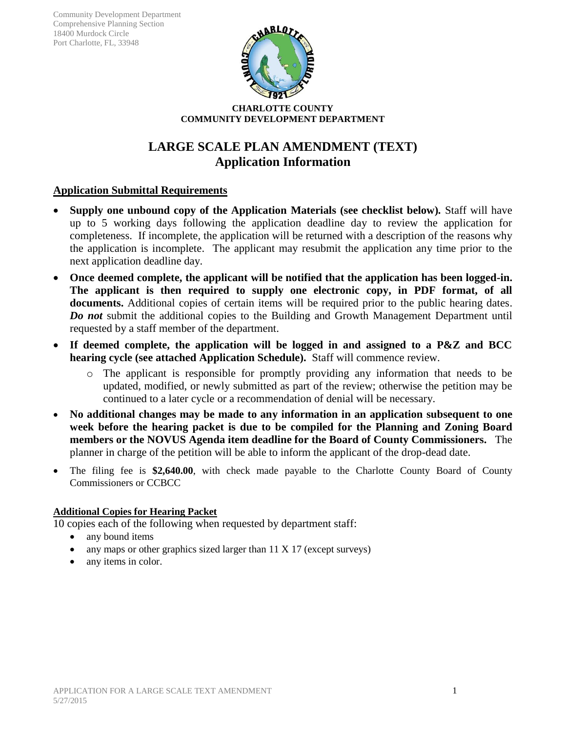

#### **CHARLOTTE COUNTY COMMUNITY DEVELOPMENT DEPARTMENT**

# **LARGE SCALE PLAN AMENDMENT (TEXT) Application Information**

# **Application Submittal Requirements**

- **Supply one unbound copy of the Application Materials (see checklist below)***.* Staff will have up to 5 working days following the application deadline day to review the application for completeness. If incomplete, the application will be returned with a description of the reasons why the application is incomplete. The applicant may resubmit the application any time prior to the next application deadline day.
- **Once deemed complete, the applicant will be notified that the application has been logged-in. The applicant is then required to supply one electronic copy, in PDF format, of all documents.** Additional copies of certain items will be required prior to the public hearing dates. *Do not* submit the additional copies to the Building and Growth Management Department until requested by a staff member of the department.
- **If deemed complete, the application will be logged in and assigned to a P&Z and BCC hearing cycle (see attached Application Schedule).** Staff will commence review.
	- o The applicant is responsible for promptly providing any information that needs to be updated, modified, or newly submitted as part of the review; otherwise the petition may be continued to a later cycle or a recommendation of denial will be necessary.
- **No additional changes may be made to any information in an application subsequent to one week before the hearing packet is due to be compiled for the Planning and Zoning Board members or the NOVUS Agenda item deadline for the Board of County Commissioners.** The planner in charge of the petition will be able to inform the applicant of the drop-dead date.
- The filing fee is **\$2,640.00**, with check made payable to the Charlotte County Board of County Commissioners or CCBCC

# **Additional Copies for Hearing Packet**

10 copies each of the following when requested by department staff:

- any bound items
- any maps or other graphics sized larger than 11 X 17 (except surveys)
- any items in color.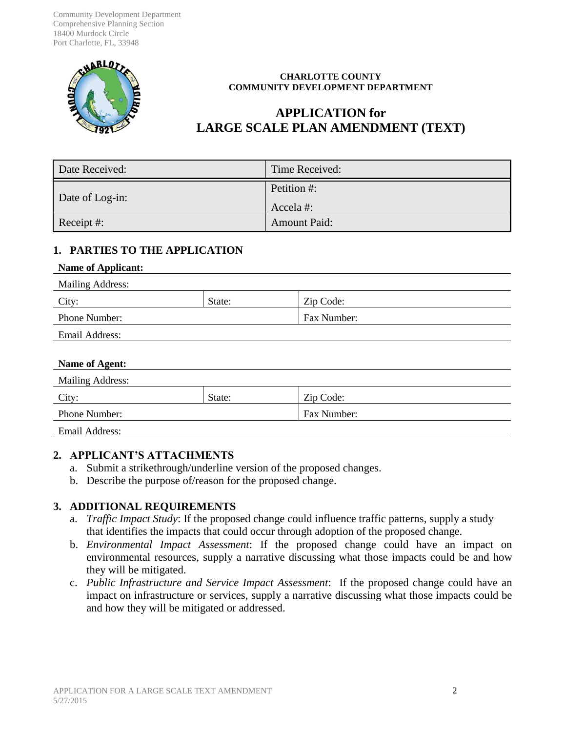Community Development Department Comprehensive Planning Section 18400 Murdock Circle Port Charlotte, FL, 33948



#### **CHARLOTTE COUNTY COMMUNITY DEVELOPMENT DEPARTMENT**

# **APPLICATION for LARGE SCALE PLAN AMENDMENT (TEXT)**

| Date Received:  | Time Received:          |
|-----------------|-------------------------|
| Date of Log-in: | Petition #:<br>Accela#: |
| Receipt #:      | <b>Amount Paid:</b>     |

## **1. PARTIES TO THE APPLICATION**

#### **Name of Applicant:**

| <b>Mailing Address:</b> |        |                    |
|-------------------------|--------|--------------------|
| City:                   | State: | Zip Code:          |
| <b>Phone Number:</b>    |        | <b>Fax Number:</b> |
| Email Address:          |        |                    |

#### **Name of Agent:**

| <b>Mailing Address:</b> |        |             |  |
|-------------------------|--------|-------------|--|
| City:                   | State: | Zip Code:   |  |
| <b>Phone Number:</b>    |        | Fax Number: |  |
| Email Address:          |        |             |  |

## **2. APPLICANT'S ATTACHMENTS**

- a. Submit a strikethrough/underline version of the proposed changes.
- b. Describe the purpose of/reason for the proposed change.

## **3. ADDITIONAL REQUIREMENTS**

- a. *Traffic Impact Study*: If the proposed change could influence traffic patterns, supply a study that identifies the impacts that could occur through adoption of the proposed change.
- b. *Environmental Impact Assessment*: If the proposed change could have an impact on environmental resources, supply a narrative discussing what those impacts could be and how they will be mitigated.
- c. *Public Infrastructure and Service Impact Assessment*: If the proposed change could have an impact on infrastructure or services, supply a narrative discussing what those impacts could be and how they will be mitigated or addressed.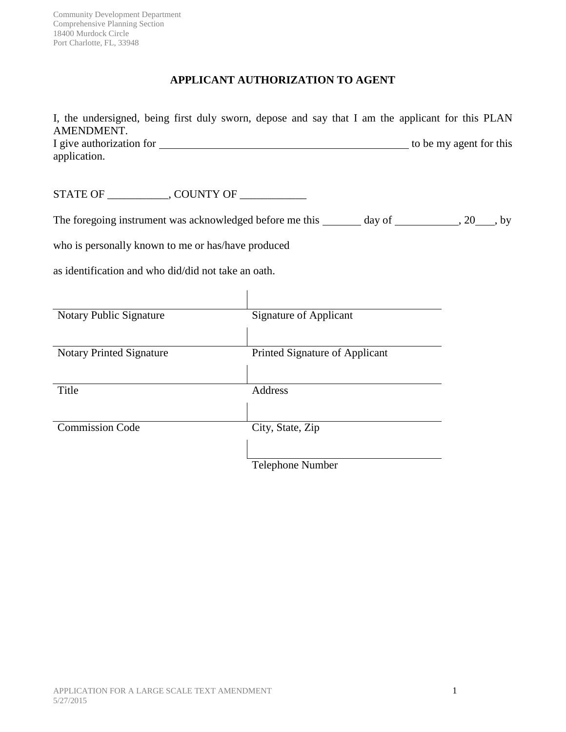Community Development Department Comprehensive Planning Section 18400 Murdock Circle Port Charlotte, FL, 33948

# **APPLICANT AUTHORIZATION TO AGENT**

| I, the undersigned, being first duly sworn, depose and say that I am the applicant for this PLAN<br>AMENDMENT. |                         |
|----------------------------------------------------------------------------------------------------------------|-------------------------|
| application.                                                                                                   | to be my agent for this |
| STATE OF GOUNTY OF                                                                                             |                         |
| The foregoing instrument was acknowledged before me this $\_\_\_\_$ day of $\_\_\_\_$ , 20, by                 |                         |
| who is personally known to me or has/have produced                                                             |                         |

as identification and who did/did not take an oath.

| Notary Public Signature         | <b>Signature of Applicant</b>  |
|---------------------------------|--------------------------------|
|                                 |                                |
|                                 |                                |
|                                 |                                |
| <b>Notary Printed Signature</b> | Printed Signature of Applicant |
|                                 |                                |
|                                 |                                |
| Title                           | Address                        |
|                                 |                                |
|                                 |                                |
| <b>Commission Code</b>          | City, State, Zip               |
|                                 |                                |
|                                 |                                |
|                                 |                                |
|                                 | Telephone Number               |

 $\overline{1}$